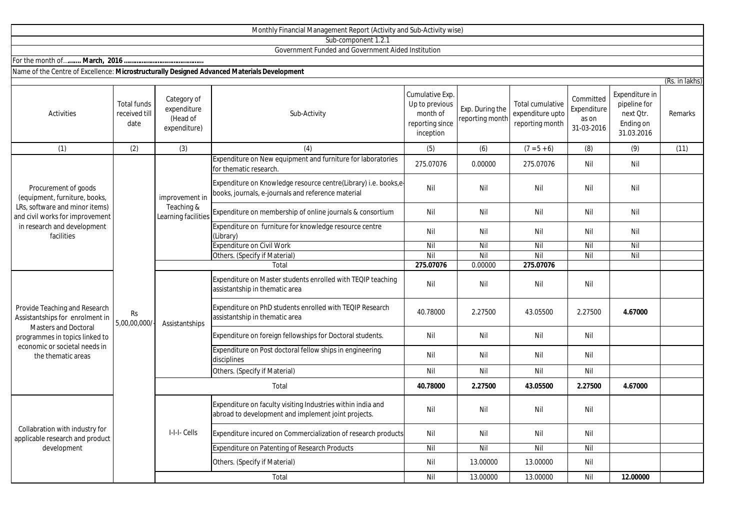|                                                                                                                                                                                          |                                             |                                                        | Sub-component 1.2.1                                                                                                   |                                                                               |                                    |                                                         |                                                 |                                                                        |                |
|------------------------------------------------------------------------------------------------------------------------------------------------------------------------------------------|---------------------------------------------|--------------------------------------------------------|-----------------------------------------------------------------------------------------------------------------------|-------------------------------------------------------------------------------|------------------------------------|---------------------------------------------------------|-------------------------------------------------|------------------------------------------------------------------------|----------------|
|                                                                                                                                                                                          |                                             |                                                        | Government Funded and Government Aided Institution                                                                    |                                                                               |                                    |                                                         |                                                 |                                                                        |                |
|                                                                                                                                                                                          |                                             |                                                        |                                                                                                                       |                                                                               |                                    |                                                         |                                                 |                                                                        |                |
| Name of the Centre of Excellence: Microstructurally Designed Advanced Materials Development                                                                                              |                                             |                                                        |                                                                                                                       |                                                                               |                                    |                                                         |                                                 |                                                                        |                |
|                                                                                                                                                                                          |                                             |                                                        |                                                                                                                       |                                                                               |                                    |                                                         |                                                 |                                                                        | (Rs. in lakhs) |
| Activities                                                                                                                                                                               | <b>Total funds</b><br>received till<br>date | Category of<br>expenditure<br>(Head of<br>expenditure) | Sub-Activity                                                                                                          | Cumulative Exp.<br>Up to previous<br>month of<br>reporting since<br>inception | Exp. During the<br>reporting month | Total cumulative<br>expenditure upto<br>reporting month | Committed<br>Expenditure<br>as on<br>31-03-2016 | Expenditure in<br>pipeline for<br>next Qtr.<br>Ending on<br>31.03.2016 | Remarks        |
| (1)                                                                                                                                                                                      | (2)                                         | (3)                                                    | (4)                                                                                                                   | (5)                                                                           | (6)                                | $(7 = 5 + 6)$                                           | (8)                                             | (9)                                                                    | (11)           |
| Procurement of goods<br>(equipment, furniture, books,<br>LRs, software and minor items)<br>and civil works for improvement<br>in research and development<br>facilities                  |                                             | improvement in<br>Teaching &<br>Learning facilities    | Expenditure on New equipment and furniture for laboratories<br>for thematic research.                                 | 275.07076                                                                     | 0.00000                            | 275.07076                                               | Nil                                             | Nil                                                                    |                |
|                                                                                                                                                                                          |                                             |                                                        | Expenditure on Knowledge resource centre(Library) i.e. books,e-<br>books, journals, e-journals and reference material | Nil                                                                           | Nil                                | Nil                                                     | Nil                                             | Nil                                                                    |                |
|                                                                                                                                                                                          |                                             |                                                        | Expenditure on membership of online journals & consortium                                                             | Nil                                                                           | Nil                                | Nil                                                     | Nil                                             | Nil                                                                    |                |
|                                                                                                                                                                                          | Rs<br>5,00,00,000/                          |                                                        | Expenditure on furniture for knowledge resource centre<br>(Library)                                                   | Nil                                                                           | Nil                                | Nil                                                     | Nil                                             | Nil                                                                    |                |
|                                                                                                                                                                                          |                                             |                                                        | <b>Expenditure on Civil Work</b>                                                                                      | Nil                                                                           | Nil                                | Nil                                                     | Nil                                             | Nil                                                                    |                |
|                                                                                                                                                                                          |                                             |                                                        | Others. (Specify if Material)                                                                                         | Nil                                                                           | Nil                                | Nil                                                     | Nil                                             | Nil                                                                    |                |
|                                                                                                                                                                                          |                                             |                                                        | Total                                                                                                                 | 275.07076                                                                     | 0.00000                            | 275.07076                                               |                                                 |                                                                        |                |
| Provide Teaching and Research<br>Assistantships for enrolment in<br><b>Masters and Doctoral</b><br>programmes in topics linked to<br>economic or societal needs in<br>the thematic areas |                                             | Assistantships                                         | Expenditure on Master students enrolled with TEQIP teaching<br>assistantship in thematic area                         | Nil                                                                           | Nil                                | Nil                                                     | Nil                                             |                                                                        |                |
|                                                                                                                                                                                          |                                             |                                                        | Expenditure on PhD students enrolled with TEQIP Research<br>assistantship in thematic area                            | 40.78000                                                                      | 2.27500                            | 43.05500                                                | 2.27500                                         | 4.67000                                                                |                |
|                                                                                                                                                                                          |                                             |                                                        | Expenditure on foreign fellowships for Doctoral students.                                                             | Nil                                                                           | Nil                                | Nil                                                     | Nil                                             |                                                                        |                |
|                                                                                                                                                                                          |                                             |                                                        | Expenditure on Post doctoral fellow ships in engineering<br>disciplines                                               | Nil                                                                           | Nil                                | Nil                                                     | Nil                                             |                                                                        |                |
|                                                                                                                                                                                          |                                             |                                                        | Others. (Specify if Material)                                                                                         | Nil                                                                           | Nil                                | Nil                                                     | Nil                                             |                                                                        |                |
|                                                                                                                                                                                          |                                             | Total                                                  |                                                                                                                       | 40.78000                                                                      | 2.27500                            | 43.05500                                                | 2.27500                                         | 4.67000                                                                |                |
| Collabration with industry for<br>applicable research and product<br>development                                                                                                         |                                             | I-I-I- Cells                                           | Expenditure on faculty visiting Industries within india and<br>abroad to development and implement joint projects.    | Nil                                                                           | Nil                                | Nil                                                     | Nil                                             |                                                                        |                |
|                                                                                                                                                                                          |                                             |                                                        | Expenditure incured on Commercialization of research products                                                         | Nil                                                                           | Nil                                | Nil                                                     | Nil                                             |                                                                        |                |
|                                                                                                                                                                                          |                                             |                                                        | Expenditure on Patenting of Research Products                                                                         | Nil                                                                           | Nil                                | Nil                                                     | Nil                                             |                                                                        |                |
|                                                                                                                                                                                          |                                             |                                                        | Others. (Specify if Material)                                                                                         | Nil                                                                           | 13.00000                           | 13.00000                                                | Nil                                             |                                                                        |                |
|                                                                                                                                                                                          |                                             |                                                        | Total                                                                                                                 | Nil                                                                           | 13.00000                           | 13.00000                                                | Nil                                             | 12.00000                                                               |                |

Monthly Financial Management Report (Activity and Sub-Activity wise)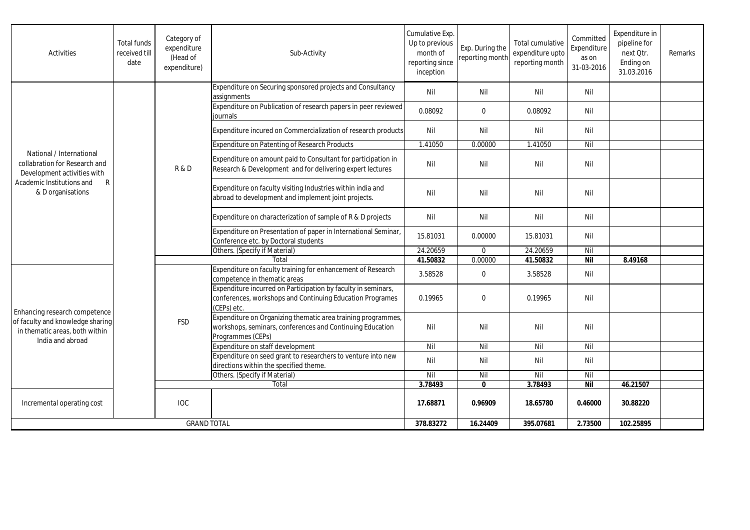| Activities                                                                                                                                                 | <b>Total funds</b><br>received till<br>date | Category of<br>expenditure<br>(Head of<br>expenditure) | Sub-Activity                                                                                                                                   | Cumulative Exp.<br>Up to previous<br>month of<br>reporting since<br>inception | Exp. During the<br>reporting month | Total cumulative<br>expenditure upto<br>reporting month | Committed<br>Expenditure<br>as on<br>31-03-2016 | Expenditure in<br>pipeline for<br>next Otr.<br>Ending on<br>31.03.2016 | Remarks |
|------------------------------------------------------------------------------------------------------------------------------------------------------------|---------------------------------------------|--------------------------------------------------------|------------------------------------------------------------------------------------------------------------------------------------------------|-------------------------------------------------------------------------------|------------------------------------|---------------------------------------------------------|-------------------------------------------------|------------------------------------------------------------------------|---------|
| National / International<br>collabration for Research and<br>Development activities with<br>$\mathsf{R}$<br>Academic Institutions and<br>& D organisations |                                             | <b>R&amp;D</b>                                         | Expenditure on Securing sponsored projects and Consultancy<br>assignments                                                                      | Nil                                                                           | Nil                                | Nil                                                     | Nil                                             |                                                                        |         |
|                                                                                                                                                            |                                             |                                                        | Expenditure on Publication of research papers in peer reviewed<br>journals                                                                     | 0.08092                                                                       | $\mathbf 0$                        | 0.08092                                                 | Nil                                             |                                                                        |         |
|                                                                                                                                                            |                                             |                                                        | Expenditure incured on Commercialization of research products                                                                                  | Nil                                                                           | Nil                                | Nil                                                     | Nil                                             |                                                                        |         |
|                                                                                                                                                            |                                             |                                                        | <b>Expenditure on Patenting of Research Products</b>                                                                                           | 1.41050                                                                       | 0.00000                            | 1.41050                                                 | Nil                                             |                                                                        |         |
|                                                                                                                                                            |                                             |                                                        | Expenditure on amount paid to Consultant for participation in<br>Research & Development and for delivering expert lectures                     | Nil                                                                           | Nil                                | Nil                                                     | Nil                                             |                                                                        |         |
|                                                                                                                                                            |                                             |                                                        | Expenditure on faculty visiting Industries within india and<br>abroad to development and implement joint projects.                             | Nil                                                                           | Nil                                | Nil                                                     | Nil                                             |                                                                        |         |
|                                                                                                                                                            |                                             |                                                        | Expenditure on characterization of sample of R & D projects                                                                                    | Nil                                                                           | Nil                                | Nil                                                     | Nil                                             |                                                                        |         |
|                                                                                                                                                            |                                             |                                                        | Expenditure on Presentation of paper in International Seminar,<br>Conference etc. by Doctoral students                                         | 15.81031                                                                      | 0.00000                            | 15.81031                                                | Nil                                             |                                                                        |         |
|                                                                                                                                                            |                                             |                                                        | Others. (Specify if Material)                                                                                                                  | 24.20659                                                                      | $\mathbf 0$                        | 24.20659                                                | Nil                                             |                                                                        |         |
|                                                                                                                                                            |                                             |                                                        | Total                                                                                                                                          | 41.50832                                                                      | 0.00000                            | 41.50832                                                | <b>Nil</b>                                      | 8.49168                                                                |         |
| Enhancing research competence<br>of faculty and knowledge sharing<br>in thematic areas, both within<br>India and abroad                                    |                                             | <b>FSD</b>                                             | Expenditure on faculty training for enhancement of Research<br>competence in thematic areas                                                    | 3.58528                                                                       | $\mathbf 0$                        | 3.58528                                                 | Nil                                             |                                                                        |         |
|                                                                                                                                                            |                                             |                                                        | Expenditure incurred on Participation by faculty in seminars,<br>conferences, workshops and Continuing Education Programes<br>(CEPs) etc.      | 0.19965                                                                       | $\Omega$                           | 0.19965                                                 | Nil                                             |                                                                        |         |
|                                                                                                                                                            |                                             |                                                        | Expenditure on Organizing thematic area training programmes,<br>workshops, seminars, conferences and Continuing Education<br>Programmes (CEPs) | Nil                                                                           | Nil                                | Nil                                                     | Nil                                             |                                                                        |         |
|                                                                                                                                                            |                                             |                                                        | Expenditure on staff development                                                                                                               | Nil                                                                           | Nil                                | Nil                                                     | Nil                                             |                                                                        |         |
|                                                                                                                                                            |                                             |                                                        | Expenditure on seed grant to researchers to venture into new<br>directions within the specified theme.                                         | Nil                                                                           | Nil                                | Nil                                                     | Nil                                             |                                                                        |         |
|                                                                                                                                                            |                                             |                                                        | Others. (Specify if Material)                                                                                                                  | Nil                                                                           | Nil                                | Nil                                                     | Nil                                             |                                                                        |         |
|                                                                                                                                                            |                                             | Total                                                  |                                                                                                                                                | 3.78493                                                                       | $\mathbf{0}$                       | 3.78493                                                 | <b>Nil</b>                                      | 46.21507                                                               |         |
| Incremental operating cost                                                                                                                                 |                                             | <b>IOC</b>                                             |                                                                                                                                                | 17.68871                                                                      | 0.96909                            | 18.65780                                                | 0.46000                                         | 30.88220                                                               |         |
| <b>GRAND TOTAL</b>                                                                                                                                         |                                             |                                                        | 378.83272                                                                                                                                      | 16.24409                                                                      | 395.07681                          | 2.73500                                                 | 102.25895                                       |                                                                        |         |